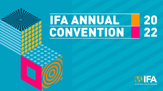### 20<br>22 **IFA ANNUAL** CONVENTION

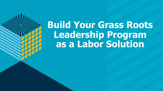## **Build Your Grass Roots Leadership Program as a Labor Solution**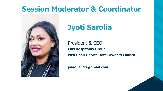#### **Session Moderator & Coordinator**



### **Jyoti Sarolia**

President & CEO **Ellis Hospitality Group Past Chair Choice Hotel Owners Council**

**jsarolia.r12@gmail.com**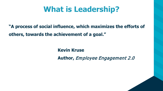### **What is Leadership?**

**"A process of social influence, which maximizes the efforts of others, towards the achievement of a goal."**

**Kevin Kruse**

**Author,** Employee Engagement 2.0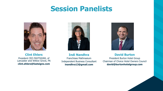#### **Session Panelists**



**Clint Ehlers** President CEO FASTSIGNS, of Lancaster and Willow Grove, PA **clint.ehlers@fastsigns.com**



**Indi Nandhra** Franchisee Mathnasium Independent Business Consultant **inandhra13@gmail.com**



**David Burton**

President Burton Hotel Group Chairman of Choice Hotel Owners Council **david@burtonhotelgroup.com**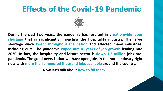#### **Effects of the Covid-19 Pandemic**



**During the past two years, the pandemic has resulted in a nationwide labor shortage that is significantly impacting the hospitality industry. The labor shortage wave swept throughout the nation and affected many industries, including ours. The pandemic wiped out 10 years of job growth leading into 2020. In fact, the hospitality and leisure sector is down 1.2 million jobs prepandemic. The good news is that we have open jobs in the hotel industry right now with more than a hundred thousand jobs available around the country.**

**Now let's talk about how to fill them…**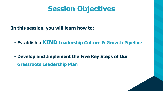#### **Session Objectives**

**In this session, you will learn how to:**

• **Establish a KIND Leadership Culture & Growth Pipeline**

• **Develop and Implement the Five Key Steps of Our Grassroots Leadership Plan**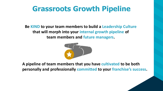### **Grassroots Growth Pipeline**

**Be KIND to your team members to build a Leadership Culture that will morph into your internal growth pipeline of team members and future managers.** 



**A pipeline of team members that you have cultivated to be both personally and professionally committed to your franchise's success.**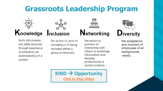### **Grassroots Leadership Program**





facts, information, and skills acquired through experience or education; an understanding of a subject.

the action or state of including or of being included within a group or structure.

the action or process of interacting with others to exchange information and develop professional or social contacts.

**Networking** 

# **Diversity**

the acceptance and inclusion of employees of all backgrounds; variety.

**KIND → Opportunity** *[Click to Play Video](https://www.youtube.com/watch?v=bGri_vMvdHw)*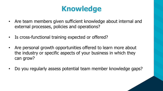### **Knowledge**

- Are team members given sufficient knowledge about internal and external processes, policies and operations?
- Is cross-functional training expected or offered?
- Are personal growth opportunities offered to learn more about the industry or specific aspects of your business in which they can grow?
- Do you regularly assess potential team member knowledge gaps?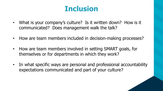### **Inclusion**

- What is your company's culture? Is it written down? How is it communicated? Does management walk the talk?
- How are team members included in decision-making processes?
- How are team members involved in setting SMART goals, for themselves or for departments in which they work?
- In what specific ways are personal and professional accountability expectations communicated and part of your culture?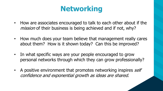### **Networking**

- How are associates encouraged to talk to each other about if the mission of their business is being achieved and if not, why?
- How much does your team believe that management really cares about them? How is it shown today? Can this be improved?
- In what specific ways are your people encouraged to grow personal networks through which they can grow professionally?
- A positive environment that promotes networking inspires self confidence and exponential growth as ideas are shared.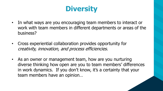### **Diversity**

- In what ways are you encouraging team members to interact or work with team members in different departments or areas of the business?
- Cross experiential collaboration provides opportunity for creativity, innovation, and process efficiencies.
- As an owner or management team, how are you nurturing diverse thinking how open are you to team members' differences in work dynamics. If you don't know, it's a certainty that your team members have an opinion…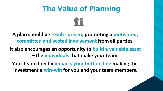### **The Value of Planning**



**A plan should be results driven, promoting a motivated, committed and vested involvement from all parties.** 

**It also encourages an opportunity to build a valuable asset** 

**– the individuals that make your team.**

**Your team directly impacts your bottom line making this investment a win-win for you and your team members.**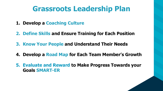#### **Grassroots Leadership Plan**

- **1. Develop a Coaching Culture**
- **2. Define Skills and Ensure Training for Each Position**
- **3. Know Your People and Understand Their Needs**
- **4. Develop a Road Map for Each Team Member's Growth**
- **5. Evaluate and Reward to Make Progress Towards your Goals SMART-ER**